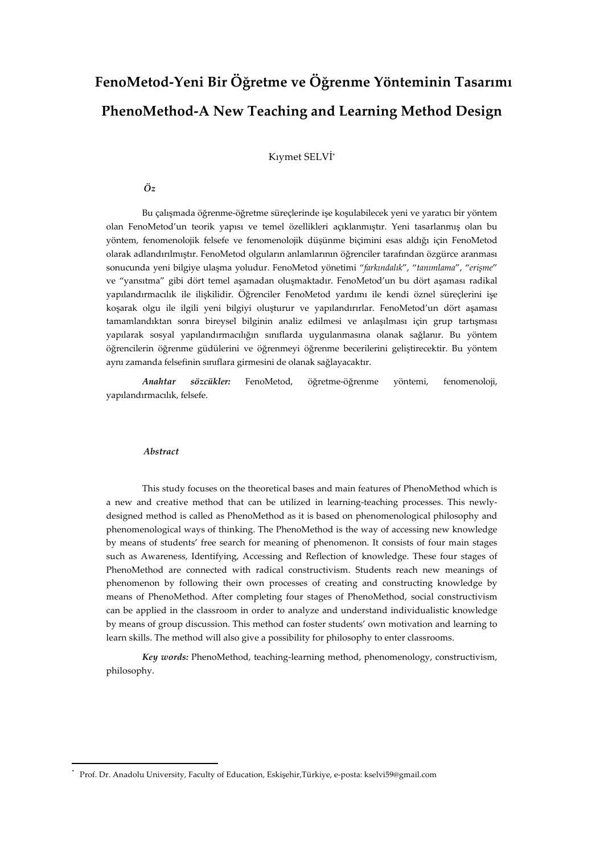# **FenoMetod-Yeni Bir Öğretme ve Öğrenme Yönteminin Tasarımı PhenoMethod-A New Teaching and Learning Method Design**

Kıymet SELVİ\*

### *Öz*

Bu çalışmada öğrenme-öğretme süreçlerinde işe koşulabilecek yeni ve yaratıcı bir yöntem olan FenoMetod'un teorik yapısı ve temel özellikleri açıklanmıştır. Yeni tasarlanmış olan bu yöntem, fenomenolojik felsefe ve fenomenolojik düşünme biçimini esas aldığı için FenoMetod olarak adlandırılmıştır. FenoMetod olguların anlamlarının öğrenciler tarafından özgürce aranması sonucunda yeni bilgiye ulaşma yoludur. FenoMetod yönetimi "*farkındalık*", "*tanımlama*", "*erişme*" ve "yansıtma" gibi dört temel aşamadan oluşmaktadır. FenoMetod'un bu dört aşaması radikal yapılandırmacılık ile ilişkilidir. Öğrenciler FenoMetod yardımı ile kendi öznel süreçlerini işe koşarak olgu ile ilgili yeni bilgiyi oluşturur ve yapılandırırlar. FenoMetod'un dört aşaması tamamlandıktan sonra bireysel bilginin analiz edilmesi ve anlaşılması için grup tartışması yapılarak sosyal yapılandırmacılığın sınıflarda uygulanmasına olanak sağlanır. Bu yöntem öğrencilerin öğrenme güdülerini ve öğrenmeyi öğrenme becerilerini geliştirecektir. Bu yöntem aynı zamanda felsefinin sınıflara girmesini de olanak sağlayacaktır.

*Anahtar sözcükler:* FenoMetod, öğretme-öğrenme yöntemi, fenomenoloji, yapılandırmacılık, felsefe.

#### *Abstract*

<u> 1989 - Jan Samuel Barbara, político establecido de la provincia de la provincia de la provincia de la provinci</u>

This study focuses on the theoretical bases and main features of PhenoMethod which is a new and creative method that can be utilized in learning-teaching processes. This newlydesigned method is called as PhenoMethod as it is based on phenomenological philosophy and phenomenological ways of thinking. The PhenoMethod is the way of accessing new knowledge by means of students' free search for meaning of phenomenon. It consists of four main stages such as Awareness, Identifying, Accessing and Reflection of knowledge. These four stages of PhenoMethod are connected with radical constructivism. Students reach new meanings of phenomenon by following their own processes of creating and constructing knowledge by means of PhenoMethod. After completing four stages of PhenoMethod, social constructivism can be applied in the classroom in order to analyze and understand individualistic knowledge by means of group discussion. This method can foster students' own motivation and learning to learn skills. The method will also give a possibility for philosophy to enter classrooms.

*Key words:* PhenoMethod, teaching-learning method, phenomenology, constructivism, philosophy.

<sup>\*</sup> Prof. Dr. Anadolu University, Faculty of Education, Eskişehir,Türkiye, e-posta: kselvi59@gmail.com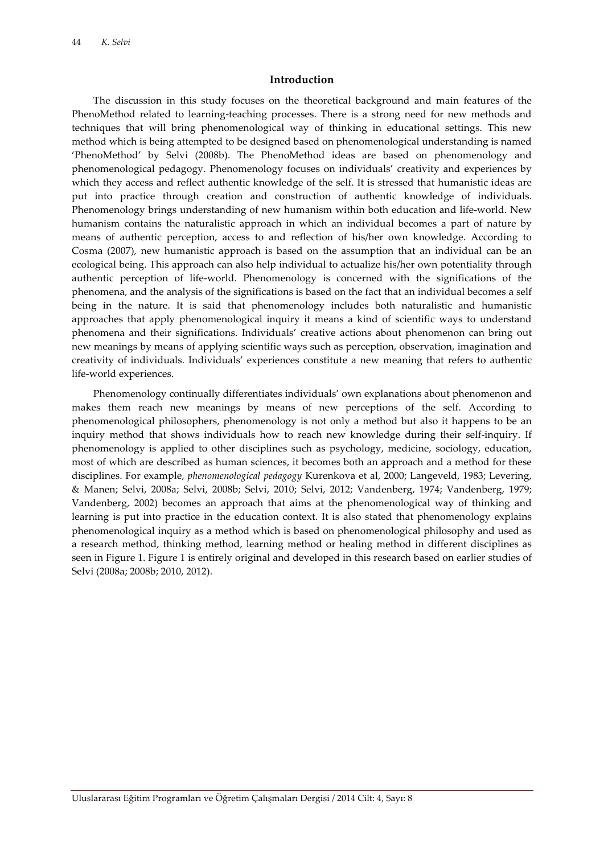### **Introduction**

The discussion in this study focuses on the theoretical background and main features of the PhenoMethod related to learning-teaching processes. There is a strong need for new methods and techniques that will bring phenomenological way of thinking in educational settings. This new method which is being attempted to be designed based on phenomenological understanding is named 'PhenoMethod' by Selvi (2008b). The PhenoMethod ideas are based on phenomenology and phenomenological pedagogy. Phenomenology focuses on individuals' creativity and experiences by which they access and reflect authentic knowledge of the self. It is stressed that humanistic ideas are put into practice through creation and construction of authentic knowledge of individuals. Phenomenology brings understanding of new humanism within both education and life-world. New humanism contains the naturalistic approach in which an individual becomes a part of nature by means of authentic perception, access to and reflection of his/her own knowledge. According to Cosma (2007), new humanistic approach is based on the assumption that an individual can be an ecological being. This approach can also help individual to actualize his/her own potentiality through authentic perception of life-world. Phenomenology is concerned with the significations of the phenomena, and the analysis of the significations is based on the fact that an individual becomes a self being in the nature. It is said that phenomenology includes both naturalistic and humanistic approaches that apply phenomenological inquiry it means a kind of scientific ways to understand phenomena and their significations. Individuals' creative actions about phenomenon can bring out new meanings by means of applying scientific ways such as perception, observation, imagination and creativity of individuals. Individuals' experiences constitute a new meaning that refers to authentic life-world experiences.

Phenomenology continually differentiates individuals' own explanations about phenomenon and makes them reach new meanings by means of new perceptions of the self. According to phenomenological philosophers, phenomenology is not only a method but also it happens to be an inquiry method that shows individuals how to reach new knowledge during their self-inquiry. If phenomenology is applied to other disciplines such as psychology, medicine, sociology, education, most of which are described as human sciences, it becomes both an approach and a method for these disciplines. For example, *phenomenological pedagogy* Kurenkova et al, 2000; Langeveld, 1983; Levering, & Manen; Selvi, 2008a; Selvi, 2008b; Selvi, 2010; Selvi, 2012; Vandenberg, 1974; Vandenberg, 1979; Vandenberg, 2002) becomes an approach that aims at the phenomenological way of thinking and learning is put into practice in the education context. It is also stated that phenomenology explains phenomenological inquiry as a method which is based on phenomenological philosophy and used as a research method, thinking method, learning method or healing method in different disciplines as seen in Figure 1. Figure 1 is entirely original and developed in this research based on earlier studies of Selvi (2008a; 2008b; 2010, 2012).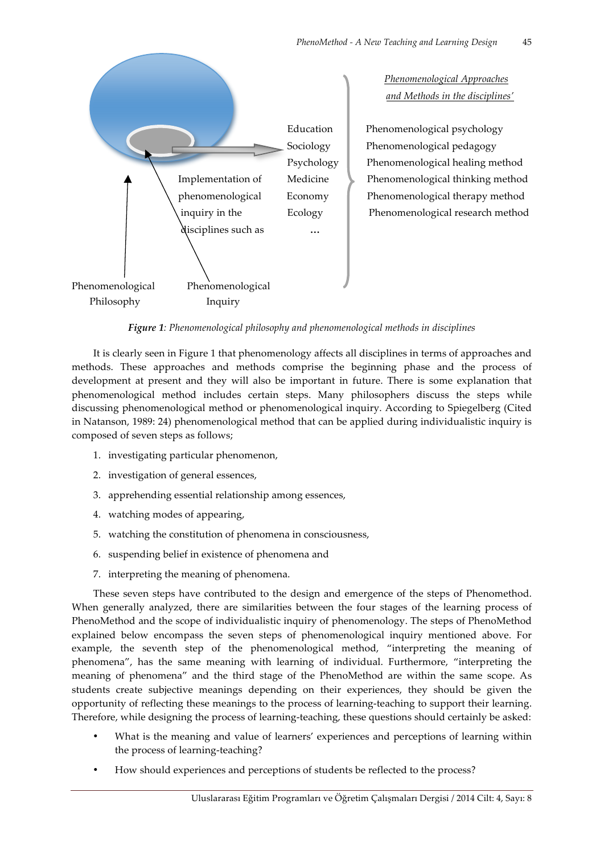

*Figure 1: Phenomenological philosophy and phenomenological methods in disciplines*

It is clearly seen in Figure 1 that phenomenology affects all disciplines in terms of approaches and methods. These approaches and methods comprise the beginning phase and the process of development at present and they will also be important in future. There is some explanation that phenomenological method includes certain steps. Many philosophers discuss the steps while discussing phenomenological method or phenomenological inquiry. According to Spiegelberg (Cited in Natanson, 1989: 24) phenomenological method that can be applied during individualistic inquiry is composed of seven steps as follows;

- 1. investigating particular phenomenon,
- 2. investigation of general essences,
- 3. apprehending essential relationship among essences,
- 4. watching modes of appearing,
- 5. watching the constitution of phenomena in consciousness,
- 6. suspending belief in existence of phenomena and
- 7. interpreting the meaning of phenomena.

These seven steps have contributed to the design and emergence of the steps of Phenomethod. When generally analyzed, there are similarities between the four stages of the learning process of PhenoMethod and the scope of individualistic inquiry of phenomenology. The steps of PhenoMethod explained below encompass the seven steps of phenomenological inquiry mentioned above. For example, the seventh step of the phenomenological method, "interpreting the meaning of phenomena", has the same meaning with learning of individual. Furthermore, "interpreting the meaning of phenomena" and the third stage of the PhenoMethod are within the same scope. As students create subjective meanings depending on their experiences, they should be given the opportunity of reflecting these meanings to the process of learning-teaching to support their learning. Therefore, while designing the process of learning-teaching, these questions should certainly be asked:

- What is the meaning and value of learners' experiences and perceptions of learning within the process of learning-teaching?
- How should experiences and perceptions of students be reflected to the process?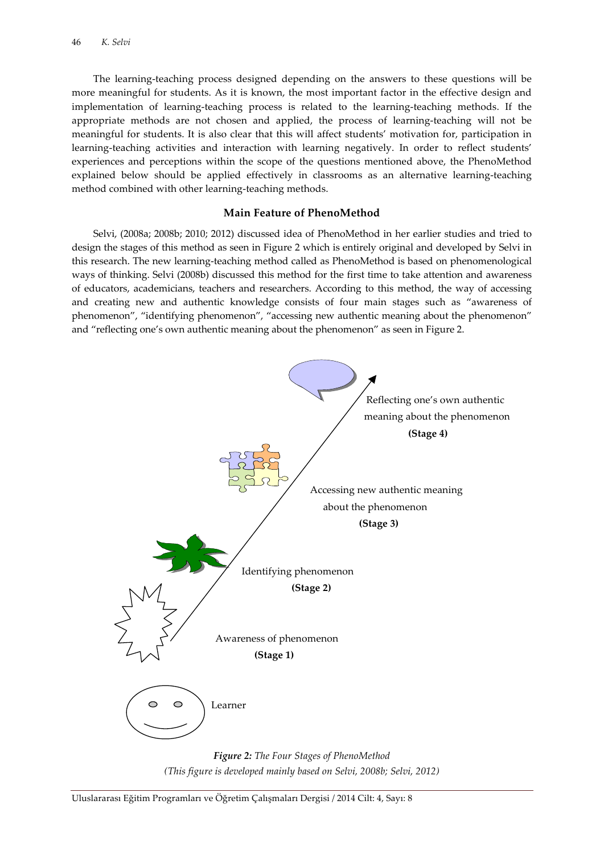The learning-teaching process designed depending on the answers to these questions will be more meaningful for students. As it is known, the most important factor in the effective design and implementation of learning-teaching process is related to the learning-teaching methods. If the appropriate methods are not chosen and applied, the process of learning-teaching will not be meaningful for students. It is also clear that this will affect students' motivation for, participation in learning-teaching activities and interaction with learning negatively. In order to reflect students' experiences and perceptions within the scope of the questions mentioned above, the PhenoMethod explained below should be applied effectively in classrooms as an alternative learning-teaching method combined with other learning-teaching methods.

### **Main Feature of PhenoMethod**

Selvi, (2008a; 2008b; 2010; 2012) discussed idea of PhenoMethod in her earlier studies and tried to design the stages of this method as seen in Figure 2 which is entirely original and developed by Selvi in this research. The new learning-teaching method called as PhenoMethod is based on phenomenological ways of thinking. Selvi (2008b) discussed this method for the first time to take attention and awareness of educators, academicians, teachers and researchers. According to this method, the way of accessing and creating new and authentic knowledge consists of four main stages such as "awareness of phenomenon", "identifying phenomenon", "accessing new authentic meaning about the phenomenon" and "reflecting one's own authentic meaning about the phenomenon" as seen in Figure 2.



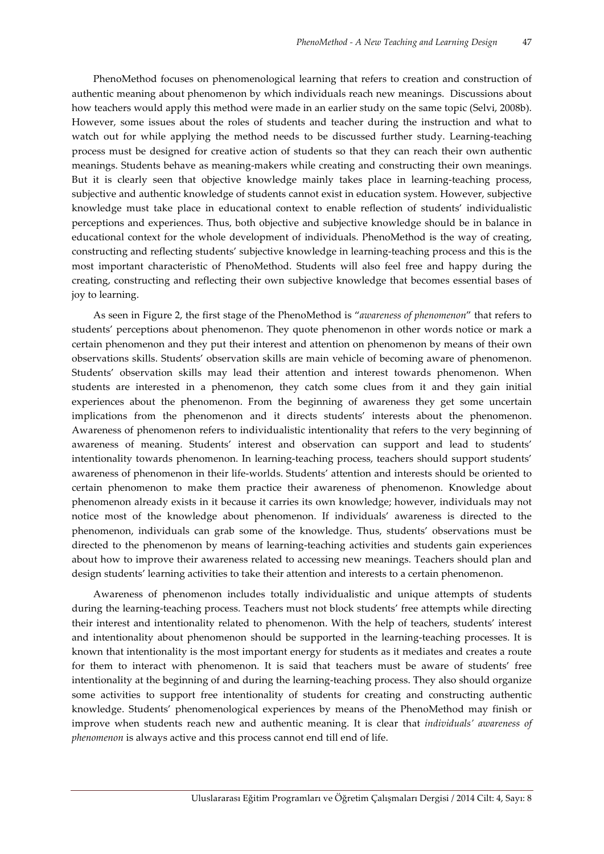PhenoMethod focuses on phenomenological learning that refers to creation and construction of authentic meaning about phenomenon by which individuals reach new meanings. Discussions about how teachers would apply this method were made in an earlier study on the same topic (Selvi, 2008b). However, some issues about the roles of students and teacher during the instruction and what to watch out for while applying the method needs to be discussed further study. Learning-teaching process must be designed for creative action of students so that they can reach their own authentic meanings. Students behave as meaning-makers while creating and constructing their own meanings. But it is clearly seen that objective knowledge mainly takes place in learning-teaching process, subjective and authentic knowledge of students cannot exist in education system. However, subjective knowledge must take place in educational context to enable reflection of students' individualistic perceptions and experiences. Thus, both objective and subjective knowledge should be in balance in educational context for the whole development of individuals. PhenoMethod is the way of creating, constructing and reflecting students' subjective knowledge in learning-teaching process and this is the most important characteristic of PhenoMethod. Students will also feel free and happy during the creating, constructing and reflecting their own subjective knowledge that becomes essential bases of joy to learning.

As seen in Figure 2, the first stage of the PhenoMethod is "*awareness of phenomenon*" that refers to students' perceptions about phenomenon. They quote phenomenon in other words notice or mark a certain phenomenon and they put their interest and attention on phenomenon by means of their own observations skills. Students' observation skills are main vehicle of becoming aware of phenomenon. Students' observation skills may lead their attention and interest towards phenomenon. When students are interested in a phenomenon, they catch some clues from it and they gain initial experiences about the phenomenon. From the beginning of awareness they get some uncertain implications from the phenomenon and it directs students' interests about the phenomenon. Awareness of phenomenon refers to individualistic intentionality that refers to the very beginning of awareness of meaning. Students' interest and observation can support and lead to students' intentionality towards phenomenon. In learning-teaching process, teachers should support students' awareness of phenomenon in their life-worlds. Students' attention and interests should be oriented to certain phenomenon to make them practice their awareness of phenomenon. Knowledge about phenomenon already exists in it because it carries its own knowledge; however, individuals may not notice most of the knowledge about phenomenon. If individuals' awareness is directed to the phenomenon, individuals can grab some of the knowledge. Thus, students' observations must be directed to the phenomenon by means of learning-teaching activities and students gain experiences about how to improve their awareness related to accessing new meanings. Teachers should plan and design students' learning activities to take their attention and interests to a certain phenomenon.

Awareness of phenomenon includes totally individualistic and unique attempts of students during the learning-teaching process. Teachers must not block students' free attempts while directing their interest and intentionality related to phenomenon. With the help of teachers, students' interest and intentionality about phenomenon should be supported in the learning-teaching processes. It is known that intentionality is the most important energy for students as it mediates and creates a route for them to interact with phenomenon. It is said that teachers must be aware of students' free intentionality at the beginning of and during the learning-teaching process. They also should organize some activities to support free intentionality of students for creating and constructing authentic knowledge. Students' phenomenological experiences by means of the PhenoMethod may finish or improve when students reach new and authentic meaning. It is clear that *individuals' awareness of phenomenon* is always active and this process cannot end till end of life.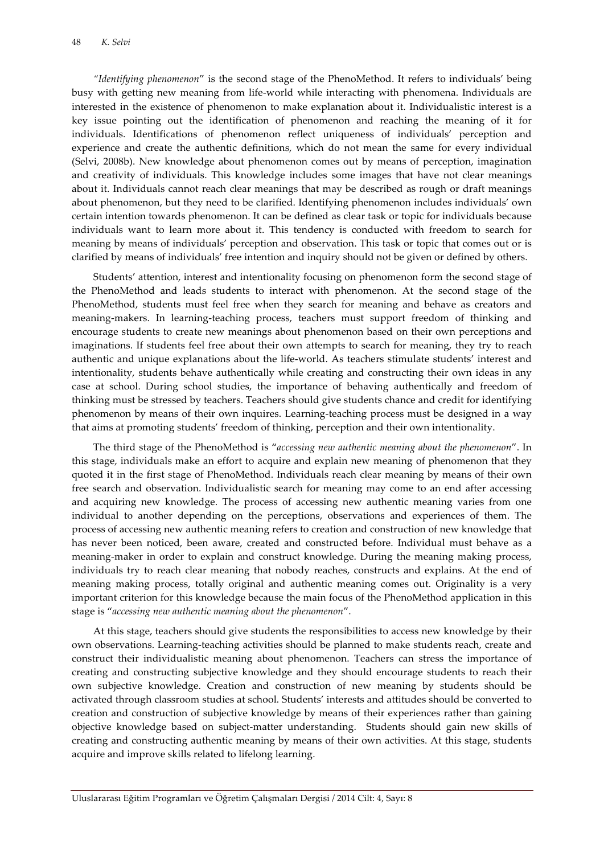*"Identifying phenomenon*" is the second stage of the PhenoMethod. It refers to individuals' being busy with getting new meaning from life-world while interacting with phenomena. Individuals are interested in the existence of phenomenon to make explanation about it. Individualistic interest is a key issue pointing out the identification of phenomenon and reaching the meaning of it for individuals. Identifications of phenomenon reflect uniqueness of individuals' perception and experience and create the authentic definitions, which do not mean the same for every individual (Selvi, 2008b). New knowledge about phenomenon comes out by means of perception, imagination and creativity of individuals. This knowledge includes some images that have not clear meanings about it. Individuals cannot reach clear meanings that may be described as rough or draft meanings about phenomenon, but they need to be clarified. Identifying phenomenon includes individuals' own certain intention towards phenomenon. It can be defined as clear task or topic for individuals because individuals want to learn more about it. This tendency is conducted with freedom to search for meaning by means of individuals' perception and observation. This task or topic that comes out or is clarified by means of individuals' free intention and inquiry should not be given or defined by others.

Students' attention, interest and intentionality focusing on phenomenon form the second stage of the PhenoMethod and leads students to interact with phenomenon. At the second stage of the PhenoMethod, students must feel free when they search for meaning and behave as creators and meaning-makers. In learning-teaching process, teachers must support freedom of thinking and encourage students to create new meanings about phenomenon based on their own perceptions and imaginations. If students feel free about their own attempts to search for meaning, they try to reach authentic and unique explanations about the life-world. As teachers stimulate students' interest and intentionality, students behave authentically while creating and constructing their own ideas in any case at school. During school studies, the importance of behaving authentically and freedom of thinking must be stressed by teachers. Teachers should give students chance and credit for identifying phenomenon by means of their own inquires. Learning-teaching process must be designed in a way that aims at promoting students' freedom of thinking, perception and their own intentionality.

The third stage of the PhenoMethod is "*accessing new authentic meaning about the phenomenon*". In this stage, individuals make an effort to acquire and explain new meaning of phenomenon that they quoted it in the first stage of PhenoMethod. Individuals reach clear meaning by means of their own free search and observation. Individualistic search for meaning may come to an end after accessing and acquiring new knowledge. The process of accessing new authentic meaning varies from one individual to another depending on the perceptions, observations and experiences of them. The process of accessing new authentic meaning refers to creation and construction of new knowledge that has never been noticed, been aware, created and constructed before. Individual must behave as a meaning-maker in order to explain and construct knowledge. During the meaning making process, individuals try to reach clear meaning that nobody reaches, constructs and explains. At the end of meaning making process, totally original and authentic meaning comes out. Originality is a very important criterion for this knowledge because the main focus of the PhenoMethod application in this stage is "*accessing new authentic meaning about the phenomenon*".

At this stage, teachers should give students the responsibilities to access new knowledge by their own observations. Learning-teaching activities should be planned to make students reach, create and construct their individualistic meaning about phenomenon. Teachers can stress the importance of creating and constructing subjective knowledge and they should encourage students to reach their own subjective knowledge. Creation and construction of new meaning by students should be activated through classroom studies at school. Students' interests and attitudes should be converted to creation and construction of subjective knowledge by means of their experiences rather than gaining objective knowledge based on subject-matter understanding. Students should gain new skills of creating and constructing authentic meaning by means of their own activities. At this stage, students acquire and improve skills related to lifelong learning.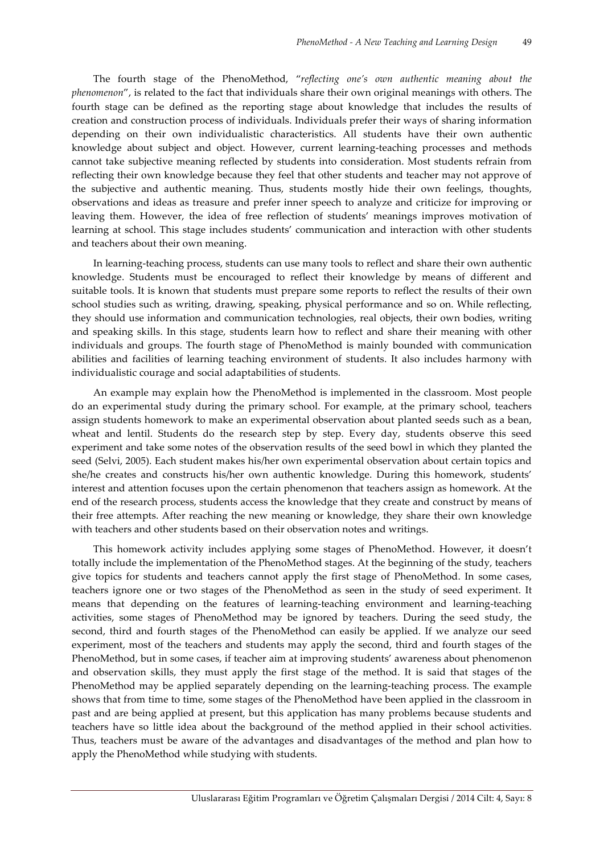The fourth stage of the PhenoMethod, "*reflecting one's own authentic meaning about the phenomenon*", is related to the fact that individuals share their own original meanings with others. The fourth stage can be defined as the reporting stage about knowledge that includes the results of creation and construction process of individuals. Individuals prefer their ways of sharing information depending on their own individualistic characteristics. All students have their own authentic knowledge about subject and object. However, current learning-teaching processes and methods cannot take subjective meaning reflected by students into consideration. Most students refrain from reflecting their own knowledge because they feel that other students and teacher may not approve of the subjective and authentic meaning. Thus, students mostly hide their own feelings, thoughts, observations and ideas as treasure and prefer inner speech to analyze and criticize for improving or leaving them. However, the idea of free reflection of students' meanings improves motivation of learning at school. This stage includes students' communication and interaction with other students and teachers about their own meaning.

In learning-teaching process, students can use many tools to reflect and share their own authentic knowledge. Students must be encouraged to reflect their knowledge by means of different and suitable tools. It is known that students must prepare some reports to reflect the results of their own school studies such as writing, drawing, speaking, physical performance and so on. While reflecting, they should use information and communication technologies, real objects, their own bodies, writing and speaking skills. In this stage, students learn how to reflect and share their meaning with other individuals and groups. The fourth stage of PhenoMethod is mainly bounded with communication abilities and facilities of learning teaching environment of students. It also includes harmony with individualistic courage and social adaptabilities of students.

An example may explain how the PhenoMethod is implemented in the classroom. Most people do an experimental study during the primary school. For example, at the primary school, teachers assign students homework to make an experimental observation about planted seeds such as a bean, wheat and lentil. Students do the research step by step. Every day, students observe this seed experiment and take some notes of the observation results of the seed bowl in which they planted the seed (Selvi, 2005). Each student makes his/her own experimental observation about certain topics and she/he creates and constructs his/her own authentic knowledge. During this homework, students' interest and attention focuses upon the certain phenomenon that teachers assign as homework. At the end of the research process, students access the knowledge that they create and construct by means of their free attempts. After reaching the new meaning or knowledge, they share their own knowledge with teachers and other students based on their observation notes and writings.

This homework activity includes applying some stages of PhenoMethod. However, it doesn't totally include the implementation of the PhenoMethod stages. At the beginning of the study, teachers give topics for students and teachers cannot apply the first stage of PhenoMethod. In some cases, teachers ignore one or two stages of the PhenoMethod as seen in the study of seed experiment. It means that depending on the features of learning-teaching environment and learning-teaching activities, some stages of PhenoMethod may be ignored by teachers. During the seed study, the second, third and fourth stages of the PhenoMethod can easily be applied. If we analyze our seed experiment, most of the teachers and students may apply the second, third and fourth stages of the PhenoMethod, but in some cases, if teacher aim at improving students' awareness about phenomenon and observation skills, they must apply the first stage of the method. It is said that stages of the PhenoMethod may be applied separately depending on the learning-teaching process. The example shows that from time to time, some stages of the PhenoMethod have been applied in the classroom in past and are being applied at present, but this application has many problems because students and teachers have so little idea about the background of the method applied in their school activities. Thus, teachers must be aware of the advantages and disadvantages of the method and plan how to apply the PhenoMethod while studying with students.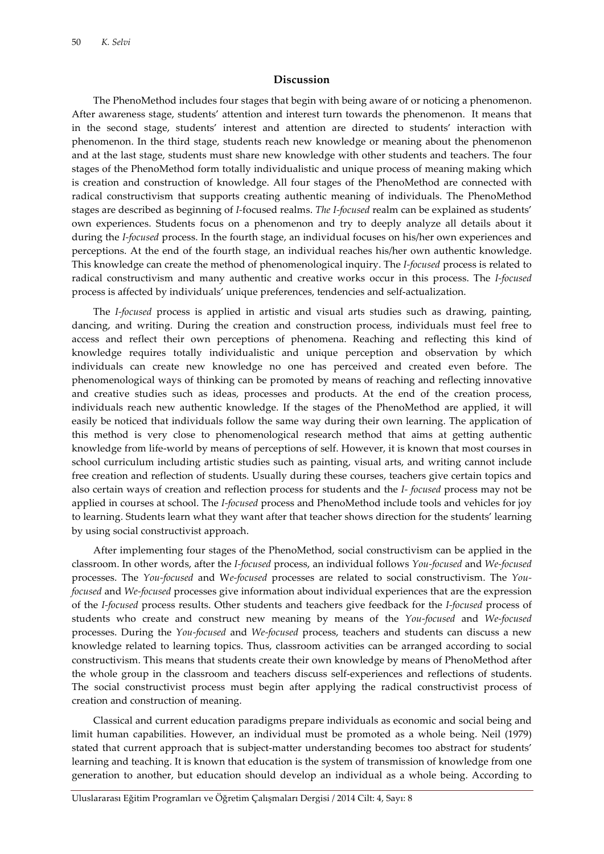#### **Discussion**

The PhenoMethod includes four stages that begin with being aware of or noticing a phenomenon. After awareness stage, students' attention and interest turn towards the phenomenon. It means that in the second stage, students' interest and attention are directed to students' interaction with phenomenon. In the third stage, students reach new knowledge or meaning about the phenomenon and at the last stage, students must share new knowledge with other students and teachers. The four stages of the PhenoMethod form totally individualistic and unique process of meaning making which is creation and construction of knowledge. All four stages of the PhenoMethod are connected with radical constructivism that supports creating authentic meaning of individuals. The PhenoMethod stages are described as beginning of *I-*focused realms. *The I-focused* realm can be explained as students' own experiences. Students focus on a phenomenon and try to deeply analyze all details about it during the *I-focused* process. In the fourth stage, an individual focuses on his/her own experiences and perceptions. At the end of the fourth stage, an individual reaches his/her own authentic knowledge. This knowledge can create the method of phenomenological inquiry. The *I-focused* process is related to radical constructivism and many authentic and creative works occur in this process. The *I-focused* process is affected by individuals' unique preferences, tendencies and self-actualization.

The *I-focused* process is applied in artistic and visual arts studies such as drawing, painting, dancing, and writing. During the creation and construction process, individuals must feel free to access and reflect their own perceptions of phenomena. Reaching and reflecting this kind of knowledge requires totally individualistic and unique perception and observation by which individuals can create new knowledge no one has perceived and created even before. The phenomenological ways of thinking can be promoted by means of reaching and reflecting innovative and creative studies such as ideas, processes and products. At the end of the creation process, individuals reach new authentic knowledge. If the stages of the PhenoMethod are applied, it will easily be noticed that individuals follow the same way during their own learning. The application of this method is very close to phenomenological research method that aims at getting authentic knowledge from life-world by means of perceptions of self. However, it is known that most courses in school curriculum including artistic studies such as painting, visual arts, and writing cannot include free creation and reflection of students. Usually during these courses, teachers give certain topics and also certain ways of creation and reflection process for students and the *I- focused* process may not be applied in courses at school. The *I-focused* process and PhenoMethod include tools and vehicles for joy to learning. Students learn what they want after that teacher shows direction for the students' learning by using social constructivist approach.

After implementing four stages of the PhenoMethod, social constructivism can be applied in the classroom. In other words, after the *I-focused* process, an individual follows *You-focused* and *We-focused*  processes. The *You-focused* and W*e-focused* processes are related to social constructivism. The *Youfocused* and *We-focused* processes give information about individual experiences that are the expression of the *I-focused* process results. Other students and teachers give feedback for the *I-focused* process of students who create and construct new meaning by means of the *You-focused* and *We-focused*  processes. During the *You-focused* and *We-focused* process, teachers and students can discuss a new knowledge related to learning topics. Thus, classroom activities can be arranged according to social constructivism. This means that students create their own knowledge by means of PhenoMethod after the whole group in the classroom and teachers discuss self-experiences and reflections of students. The social constructivist process must begin after applying the radical constructivist process of creation and construction of meaning.

Classical and current education paradigms prepare individuals as economic and social being and limit human capabilities. However, an individual must be promoted as a whole being. Neil (1979) stated that current approach that is subject-matter understanding becomes too abstract for students' learning and teaching. It is known that education is the system of transmission of knowledge from one generation to another, but education should develop an individual as a whole being. According to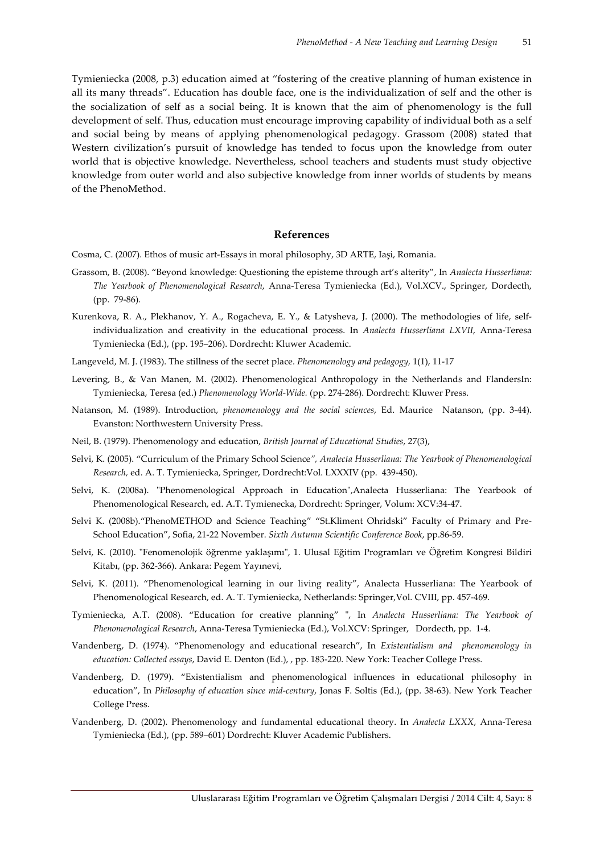Tymieniecka (2008, p.3) education aimed at "fostering of the creative planning of human existence in all its many threads". Education has double face, one is the individualization of self and the other is the socialization of self as a social being. It is known that the aim of phenomenology is the full development of self. Thus, education must encourage improving capability of individual both as a self and social being by means of applying phenomenological pedagogy. Grassom (2008) stated that Western civilization's pursuit of knowledge has tended to focus upon the knowledge from outer world that is objective knowledge. Nevertheless, school teachers and students must study objective knowledge from outer world and also subjective knowledge from inner worlds of students by means of the PhenoMethod.

### **References**

- Cosma, C. (2007). Ethos of music art-Essays in moral philosophy, 3D ARTE, Iaşi, Romania.
- Grassom, B. (2008). "Beyond knowledge: Questioning the episteme through art's alterity", In *Analecta Husserliana: The Yearbook of Phenomenological Research*, Anna-Teresa Tymieniecka (Ed.), Vol.XCV., Springer, Dordecth, (pp. 79-86).
- Kurenkova, R. A., Plekhanov, Y. A., Rogacheva, E. Y., & Latysheva, J. (2000). The methodologies of life, selfindividualization and creativity in the educational process. In *Analecta Husserliana LXVII*, Anna-Teresa Tymieniecka (Ed.), (pp. 195–206). Dordrecht: Kluwer Academic.
- Langeveld, M. J. (1983). The stillness of the secret place. *Phenomenology and pedagogy,* 1(1), 11-17
- Levering, B., & Van Manen, M. (2002). Phenomenological Anthropology in the Netherlands and FlandersIn: Tymieniecka, Teresa (ed.) *Phenomenology World-Wide.* (pp. 274-286). Dordrecht: Kluwer Press.
- Natanson, M. (1989). Introduction, *phenomenology and the social sciences*, Ed. Maurice Natanson, (pp. 3-44). Evanston: Northwestern University Press.
- Neil, B. (1979). Phenomenology and education, *British Journal of Educational Studies*, 27(3),
- Selvi, K. (2005). "Curriculum of the Primary School Science*", Analecta Husserliana: The Yearbook of Phenomenological Research,* ed. A. T. Tymieniecka, Springer, Dordrecht:Vol. LXXXIV (pp. 439-450).
- Selvi, K. (2008a). "Phenomenological Approach in Education",Analecta Husserliana: The Yearbook of Phenomenological Research, ed. A.T. Tymienecka, Dordrecht: Springer, Volum: XCV:34-47.
- Selvi K. (2008b)."PhenoMETHOD and Science Teaching" "St.Kliment Ohridski" Faculty of Primary and Pre-School Education", Sofia, 21-22 November. *Sixth Autumn Scientific Conference Book*, pp.86-59.
- Selvi, K. (2010). "Fenomenolojik öğrenme yaklaşımı", 1. Ulusal Eğitim Programları ve Öğretim Kongresi Bildiri Kitabı, (pp. 362-366). Ankara: Pegem Yayınevi,
- Selvi, K. (2011). "Phenomenological learning in our living reality", Analecta Husserliana: The Yearbook of Phenomenological Research, ed. A. T. Tymieniecka, Netherlands: Springer,Vol. CVIII, pp. 457-469.
- Tymieniecka, A.T. (2008). "Education for creative planning" ", In *Analecta Husserliana: The Yearbook of Phenomenological Research*, Anna-Teresa Tymieniecka (Ed.), Vol.XCV: Springer, Dordecth, pp. 1-4.
- Vandenberg, D. (1974). "Phenomenology and educational research", In *Existentialism and phenomenology in education: Collected essays*, David E. Denton (Ed.), , pp. 183-220. New York: Teacher College Press.
- Vandenberg, D. (1979). "Existentialism and phenomenological influences in educational philosophy in education", In *Philosophy of education since mid-century*, Jonas F. Soltis (Ed.), (pp. 38-63). New York Teacher College Press.
- Vandenberg, D. (2002). Phenomenology and fundamental educational theory. In *Analecta LXXX*, Anna-Teresa Tymieniecka (Ed.), (pp. 589–601) Dordrecht: Kluver Academic Publishers.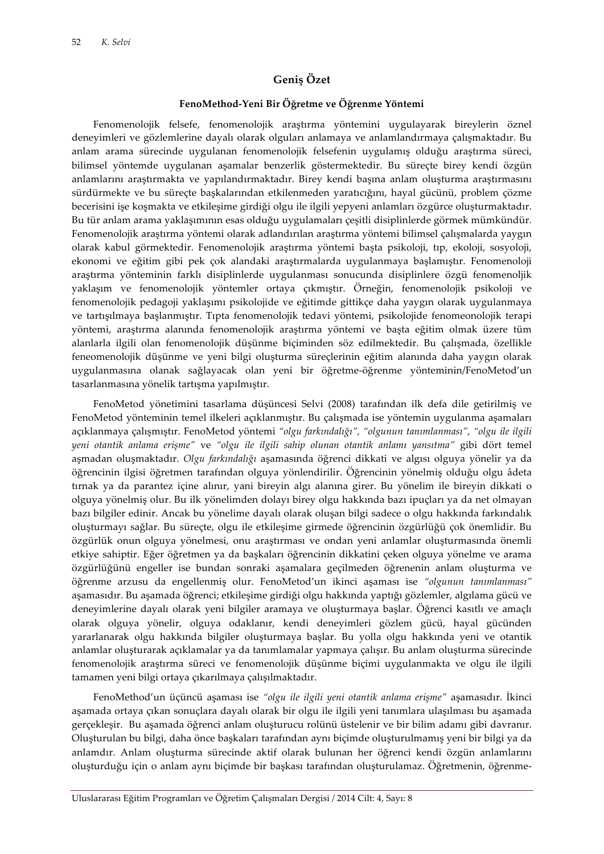## **Geniş Özet**

#### **FenoMethod-Yeni Bir Öğretme ve Öğrenme Yöntemi**

Fenomenolojik felsefe, fenomenolojik araştırma yöntemini uygulayarak bireylerin öznel deneyimleri ve gözlemlerine dayalı olarak olguları anlamaya ve anlamlandırmaya çalışmaktadır. Bu anlam arama sürecinde uygulanan fenomenolojik felsefenin uygulamış olduğu araştırma süreci, bilimsel yöntemde uygulanan aşamalar benzerlik göstermektedir. Bu süreçte birey kendi özgün anlamlarını araştırmakta ve yapılandırmaktadır. Birey kendi başına anlam oluşturma araştırmasını sürdürmekte ve bu süreçte başkalarından etkilenmeden yaratıcığını, hayal gücünü, problem çözme becerisini işe koşmakta ve etkileşime girdiği olgu ile ilgili yepyeni anlamları özgürce oluşturmaktadır. Bu tür anlam arama yaklaşımının esas olduğu uygulamaları çeşitli disiplinlerde görmek mümkündür. Fenomenolojik araştırma yöntemi olarak adlandırılan araştırma yöntemi bilimsel çalışmalarda yaygın olarak kabul görmektedir. Fenomenolojik araştırma yöntemi başta psikoloji, tıp, ekoloji, sosyoloji, ekonomi ve eğitim gibi pek çok alandaki araştırmalarda uygulanmaya başlamıştır. Fenomenoloji araştırma yönteminin farklı disiplinlerde uygulanması sonucunda disiplinlere özgü fenomenoljik yaklaşım ve fenomenolojik yöntemler ortaya çıkmıştır. Örneğin, fenomenolojik psikoloji ve fenomenolojik pedagoji yaklaşımı psikolojide ve eğitimde gittikçe daha yaygın olarak uygulanmaya ve tartışılmaya başlanmıştır. Tıpta fenomenolojik tedavi yöntemi, psikolojide fenomeonolojik terapi yöntemi, araştırma alanında fenomenolojik araştırma yöntemi ve başta eğitim olmak üzere tüm alanlarla ilgili olan fenomenolojik düşünme biçiminden söz edilmektedir. Bu çalışmada, özellikle feneomenolojik düşünme ve yeni bilgi oluşturma süreçlerinin eğitim alanında daha yaygın olarak uygulanmasına olanak sağlayacak olan yeni bir öğretme-öğrenme yönteminin/FenoMetod'un tasarlanmasına yönelik tartışma yapılmıştır.

FenoMetod yönetimini tasarlama düşüncesi Selvi (2008) tarafından ilk defa dile getirilmiş ve FenoMetod yönteminin temel ilkeleri açıklanmıştır. Bu çalışmada ise yöntemin uygulanma aşamaları açıklanmaya çalışmıştır. FenoMetod yöntemi *"olgu farkındalığı", "olgunun tanımlanması", "olgu ile ilgili yeni otantik anlama erişme"* ve *"olgu ile ilgili sahip olunan otantik anlamı yansıtma"* gibi dört temel aşmadan oluşmaktadır. *Olgu farkındalığı* aşamasında öğrenci dikkati ve algısı olguya yönelir ya da öğrencinin ilgisi öğretmen tarafından olguya yönlendirilir. Öğrencinin yönelmiş olduğu olgu âdeta tırnak ya da parantez içine alınır, yani bireyin algı alanına girer. Bu yönelim ile bireyin dikkati o olguya yönelmiş olur. Bu ilk yönelimden dolayı birey olgu hakkında bazı ipuçları ya da net olmayan bazı bilgiler edinir. Ancak bu yönelime dayalı olarak oluşan bilgi sadece o olgu hakkında farkındalık oluşturmayı sağlar. Bu süreçte, olgu ile etkileşime girmede öğrencinin özgürlüğü çok önemlidir. Bu özgürlük onun olguya yönelmesi, onu araştırması ve ondan yeni anlamlar oluşturmasında önemli etkiye sahiptir. Eğer öğretmen ya da başkaları öğrencinin dikkatini çeken olguya yönelme ve arama özgürlüğünü engeller ise bundan sonraki aşamalara geçilmeden öğrenenin anlam oluşturma ve öğrenme arzusu da engellenmiş olur. FenoMetod'un ikinci aşaması ise *"olgunun tanımlanması"*  aşamasıdır. Bu aşamada öğrenci; etkileşime girdiği olgu hakkında yaptığı gözlemler, algılama gücü ve deneyimlerine dayalı olarak yeni bilgiler aramaya ve oluşturmaya başlar. Öğrenci kasıtlı ve amaçlı olarak olguya yönelir, olguya odaklanır, kendi deneyimleri gözlem gücü, hayal gücünden yararlanarak olgu hakkında bilgiler oluşturmaya başlar. Bu yolla olgu hakkında yeni ve otantik anlamlar oluşturarak açıklamalar ya da tanımlamalar yapmaya çalışır. Bu anlam oluşturma sürecinde fenomenolojik araştırma süreci ve fenomenolojik düşünme biçimi uygulanmakta ve olgu ile ilgili tamamen yeni bilgi ortaya çıkarılmaya çalışılmaktadır.

FenoMethod'un üçüncü aşaması ise *"olgu ile ilgili yeni otantik anlama erişme"* aşamasıdır. İkinci aşamada ortaya çıkan sonuçlara dayalı olarak bir olgu ile ilgili yeni tanımlara ulaşılması bu aşamada gerçekleşir. Bu aşamada öğrenci anlam oluşturucu rolünü üstelenir ve bir bilim adamı gibi davranır. Oluşturulan bu bilgi, daha önce başkaları tarafından aynı biçimde oluşturulmamış yeni bir bilgi ya da anlamdır. Anlam oluşturma sürecinde aktif olarak bulunan her öğrenci kendi özgün anlamlarını oluşturduğu için o anlam aynı biçimde bir başkası tarafından oluşturulamaz. Öğretmenin, öğrenme